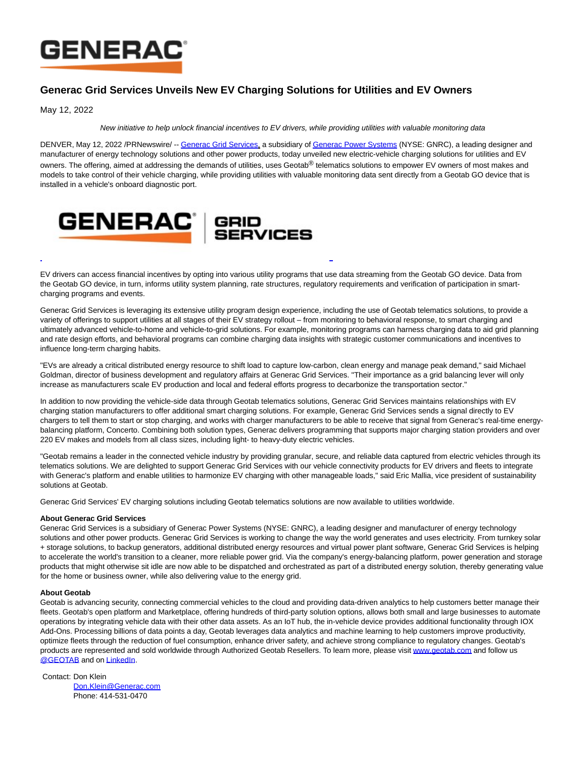

## **Generac Grid Services Unveils New EV Charging Solutions for Utilities and EV Owners**

May 12, 2022

New initiative to help unlock financial incentives to EV drivers, while providing utilities with valuable monitoring data

DENVER. Mav 12, 2022 /PRNewswire/ -[- Generac Grid Services,](https://c212.net/c/link/?t=0&l=en&o=3534086-1&h=2766785803&u=https%3A%2F%2Fwww.enbala.com%2F&a=Generac+Grid+Services) a subsidiary o[f Generac Power Systems \(](https://c212.net/c/link/?t=0&l=en&o=3534086-1&h=3684746099&u=https%3A%2F%2Fwww.generac.com%2F&a=Generac+Power+Systems)NYSE: GNRC), a leading designer and manufacturer of energy technology solutions and other power products, today unveiled new electric-vehicle charging solutions for utilities and EV owners. The offering, aimed at addressing the demands of utilities, uses Geotab<sup>®</sup> telematics solutions to empower EV owners of most makes and models to take control of their vehicle charging, while providing utilities with valuable monitoring data sent directly from a Geotab GO device that is installed in a vehicle's onboard diagnostic port.



EV drivers can access financial incentives by opting into various utility programs that use data streaming from the Geotab GO device. Data from the Geotab GO device, in turn, informs utility system planning, rate structures, regulatory requirements and verification of participation in smartcharging programs and events.

L

Generac Grid Services is leveraging its extensive utility program design experience, including the use of Geotab telematics solutions, to provide a variety of offerings to support utilities at all stages of their EV strategy rollout – from monitoring to behavioral response, to smart charging and ultimately advanced vehicle-to-home and vehicle-to-grid solutions. For example, monitoring programs can harness charging data to aid grid planning and rate design efforts, and behavioral programs can combine charging data insights with strategic customer communications and incentives to influence long-term charging habits.

"EVs are already a critical distributed energy resource to shift load to capture low-carbon, clean energy and manage peak demand," said Michael Goldman, director of business development and regulatory affairs at Generac Grid Services. "Their importance as a grid balancing lever will only increase as manufacturers scale EV production and local and federal efforts progress to decarbonize the transportation sector."

In addition to now providing the vehicle-side data through Geotab telematics solutions, Generac Grid Services maintains relationships with EV charging station manufacturers to offer additional smart charging solutions. For example, Generac Grid Services sends a signal directly to EV chargers to tell them to start or stop charging, and works with charger manufacturers to be able to receive that signal from Generac's real-time energybalancing platform, Concerto. Combining both solution types, Generac delivers programming that supports major charging station providers and over 220 EV makes and models from all class sizes, including light- to heavy-duty electric vehicles.

"Geotab remains a leader in the connected vehicle industry by providing granular, secure, and reliable data captured from electric vehicles through its telematics solutions. We are delighted to support Generac Grid Services with our vehicle connectivity products for EV drivers and fleets to integrate with Generac's platform and enable utilities to harmonize EV charging with other manageable loads," said Eric Mallia, vice president of sustainability solutions at Geotab.

Generac Grid Services' EV charging solutions including Geotab telematics solutions are now available to utilities worldwide.

## **About Generac Grid Services**

Generac Grid Services is a subsidiary of Generac Power Systems (NYSE: GNRC), a leading designer and manufacturer of energy technology solutions and other power products. Generac Grid Services is working to change the way the world generates and uses electricity. From turnkey solar + storage solutions, to backup generators, additional distributed energy resources and virtual power plant software, Generac Grid Services is helping to accelerate the world's transition to a cleaner, more reliable power grid. Via the company's energy-balancing platform, power generation and storage products that might otherwise sit idle are now able to be dispatched and orchestrated as part of a distributed energy solution, thereby generating value for the home or business owner, while also delivering value to the energy grid.

## **About Geotab**

Geotab is advancing security, connecting commercial vehicles to the cloud and providing data-driven analytics to help customers better manage their fleets. Geotab's open platform and Marketplace, offering hundreds of third-party solution options, allows both small and large businesses to automate operations by integrating vehicle data with their other data assets. As an IoT hub, the in-vehicle device provides additional functionality through IOX Add-Ons. Processing billions of data points a day, Geotab leverages data analytics and machine learning to help customers improve productivity, optimize fleets through the reduction of fuel consumption, enhance driver safety, and achieve strong compliance to regulatory changes. Geotab's products are represented and sold worldwide through Authorized Geotab Resellers. To learn more, please visit [www.geotab.com a](https://c212.net/c/link/?t=0&l=en&o=3534086-1&h=2346877675&u=https%3A%2F%2Fwww.geotab.com%2F&a=www.geotab.com)nd follow us [@GEOTAB a](https://c212.net/c/link/?t=0&l=en&o=3534086-1&h=1123024558&u=https%3A%2F%2Ftwitter.com%2Fgeotab&a=%40GEOTAB)nd o[n LinkedIn.](https://c212.net/c/link/?t=0&l=en&o=3534086-1&h=444429674&u=https%3A%2F%2Fwww.linkedin.com%2Fcompany%2Fgeotab&a=LinkedIn)

Contact: Don Klein [Don.Klein@Generac.com](mailto:Don.Klein@Generac.com)  Phone: 414-531-0470